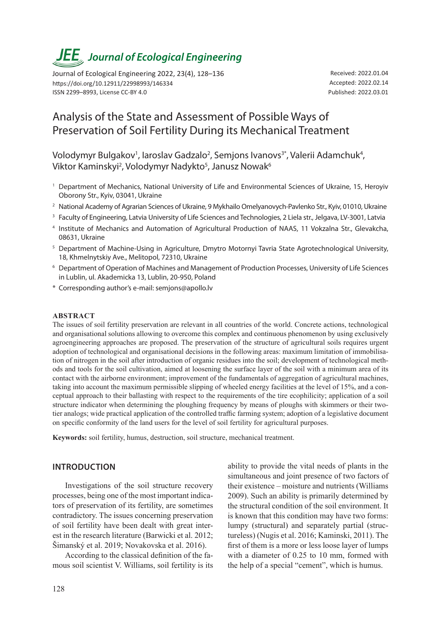# *JEE<sub>,</sub> Journal of Ecological Engineering*

Journal of Ecological Engineering 2022, 23(4), 128–136 https://doi.org/10.12911/22998993/146334 ISSN 2299–8993, License CC-BY 4.0

Received: 2022.01.04 Accepted: 2022.02.14 Published: 2022.03.01

## Analysis of the State and Assessment of Possible Ways of Preservation of Soil Fertility During its Mechanical Treatment

Volodymyr Bulgakov<sup>1</sup>, Iaroslav Gadzalo<sup>2</sup>, Semjons Ivanovs<sup>3\*</sup>, Valerii Adamchuk<sup>4</sup>, Viktor Kaminskyi<sup>2</sup>, Volodymyr Nadykto<sup>5</sup>, Janusz Nowak<sup>6</sup>

- <sup>1</sup> Department of Mechanics, National University of Life and Environmental Sciences of Ukraine, 15, Heroyiv Oborony Str., Kyiv, 03041, Ukraine
- <sup>2</sup> National Academy of Agrarian Sciences of Ukraine, 9 Mykhailo Omelyanovych-Pavlenko Str., Kyiv, 01010, Ukraine
- <sup>3</sup> Faculty of Engineering, Latvia University of Life Sciences and Technologies, 2 Liela str., Jelgava, LV-3001, Latvia
- <sup>4</sup> Institute of Mechanics and Automation of Agricultural Production of NAAS, 11 Vokzalna Str., Glevakcha, 08631, Ukraine
- <sup>5</sup> Department of Machine-Using in Agriculture, Dmytro Motornyi Tavria State Agrotechnological University, 18, Khmelnytskiy Ave., Melitopol, 72310, Ukraine
- <sup>6</sup> Department of Operation of Machines and Management of Production Processes, University of Life Sciences in Lublin, ul. Akademicka 13, Lublin, 20-950, Poland
- \* Corresponding author's e-mail: semjons@apollo.lv

#### **ABSTRACT**

The issues of soil fertility preservation are relevant in all countries of the world. Concrete actions, technological and organisational solutions allowing to overcome this complex and continuous phenomenon by using exclusively agroengineering approaches are proposed. The preservation of the structure of agricultural soils requires urgent adoption of technological and organisational decisions in the following areas: maximum limitation of immobilisation of nitrogen in the soil after introduction of organic residues into the soil; development of technological methods and tools for the soil cultivation, aimed at loosening the surface layer of the soil with a minimum area of its contact with the airborne environment; improvement of the fundamentals of aggregation of agricultural machines, taking into account the maximum permissible slipping of wheeled energy facilities at the level of 15%, and a conceptual approach to their ballasting with respect to the requirements of the tire ecophilicity; application of a soil structure indicator when determining the ploughing frequency by means of ploughs with skimmers or their twotier analogs; wide practical application of the controlled traffic farming system; adoption of a legislative document on specific conformity of the land users for the level of soil fertility for agricultural purposes.

**Keywords:** soil fertility, humus, destruction, soil structure, mechanical treatment.

### **INTRODUCTION**

Investigations of the soil structure recovery processes, being one of the most important indicators of preservation of its fertility, are sometimes contradictory. The issues concerning preservation of soil fertility have been dealt with great interest in the research literature (Barwicki et al. 2012; Šimanský et al. 2019; Novakovska et al. 2016).

According to the classical definition of the famous soil scientist V. Williams, soil fertility is its ability to provide the vital needs of plants in the simultaneous and joint presence of two factors of their existence – moisture and nutrients (Williams 2009). Such an ability is primarily determined by the structural condition of the soil environment. It is known that this condition may have two forms: lumpy (structural) and separately partial (structureless) (Nugis et al. 2016; Kaminski, 2011). The first of them is a more or less loose layer of lumps with a diameter of 0.25 to 10 mm, formed with the help of a special "cement", which is humus.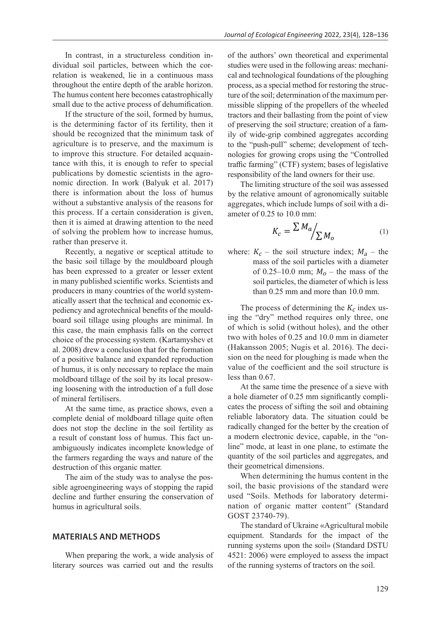In contrast, in a structureless condition individual soil particles, between which the correlation is weakened, lie in a continuous mass throughout the entire depth of the arable horizon. The humus content here becomes catastrophically small due to the active process of dehumification.

If the structure of the soil, formed by humus, is the determining factor of its fertility, then it should be recognized that the minimum task of agriculture is to preserve, and the maximum is to improve this structure. For detailed acquaintance with this, it is enough to refer to special publications by domestic scientists in the agronomic direction. In work (Balyuk et al. 2017) there is information about the loss of humus without a substantive analysis of the reasons for this process. If a certain consideration is given, then it is aimed at drawing attention to the need of solving the problem how to increase humus, rather than preserve it.

Recently, a negative or sceptical attitude to the basic soil tillage by the mouldboard plough has been expressed to a greater or lesser extent in many published scientific works. Scientists and producers in many countries of the world systematically assert that the technical and economic expediency and agrotechnical benefits of the mouldboard soil tillage using ploughs are minimal. In this case, the main emphasis falls on the correct choice of the processing system. (Kartamyshev et al. 2008) drew a conclusion that for the formation of a positive balance and expanded reproduction of humus, it is only necessary to replace the main moldboard tillage of the soil by its local presowing loosening with the introduction of a full dose of mineral fertilisers.

At the same time, as practice shows, even a complete denial of moldboard tillage quite often does not stop the decline in the soil fertility as a result of constant loss of humus. This fact unambiguously indicates incomplete knowledge of the farmers regarding the ways and nature of the destruction of this organic matter.

The aim of the study was to analyse the possible agroengineering ways of stopping the rapid decline and further ensuring the conservation of humus in agricultural soils.

#### **MATERIALS AND METHODS**

When preparing the work, a wide analysis of literary sources was carried out and the results

of the authors' own theoretical and experimental studies were used in the following areas: mechanical and technological foundations of the ploughing process, as a special method for restoring the structure of the soil; determination of the maximum permissible slipping of the propellers of the wheeled tractors and their ballasting from the point of view of preserving the soil structure; creation of a family of wide-grip combined aggregates according to the "push-pull" scheme; development of technologies for growing crops using the "Controlled traffic farming" (CTF) system; bases of legislative responsibility of the land owners for their use.

The limiting structure of the soil was assessed by the relative amount of agronomically suitable aggregates, which include lumps of soil with a diameter of 0.25 to 10.0 mm:

$$
K_c = \frac{\sum M_a}{\sum M_o} \tag{1}
$$

of 0.25–10.0 mm;  $M_0$  – the mass of the where:  $K_c$  – the soil structure index;  $M_a$  – the mass of the soil particles with a diameter soil particles, the diameter of which is less than 0.25 mm and more than 10.0 mm.

The process of determining the  $K_c$  index using the "dry" method requires only three, one of which is solid (without holes), and the other two with holes of 0.25 and 10.0 mm in diameter (Hakansson 2005; Nugis et al. 2016). The decision on the need for ploughing is made when the value of the coefficient and the soil structure is less than 0.67.

At the same time the presence of a sieve with a hole diameter of 0.25 mm significantly complicates the process of sifting the soil and obtaining reliable laboratory data. The situation could be radically changed for the better by the creation of a modern electronic device, capable, in the "online" mode, at least in one plane, to estimate the quantity of the soil particles and aggregates, and their geometrical dimensions.

When determining the humus content in the soil, the basic provisions of the standard were used "Soils. Methods for laboratory determination of organic matter content" (Standard GOST 23740-79).

The standard of Ukraine «Agricultural mobile equipment. Standards for the impact of the running systems upon the soil» (Standard DSTU 4521: 2006) were employed to assess the impact of the running systems of tractors on the soil.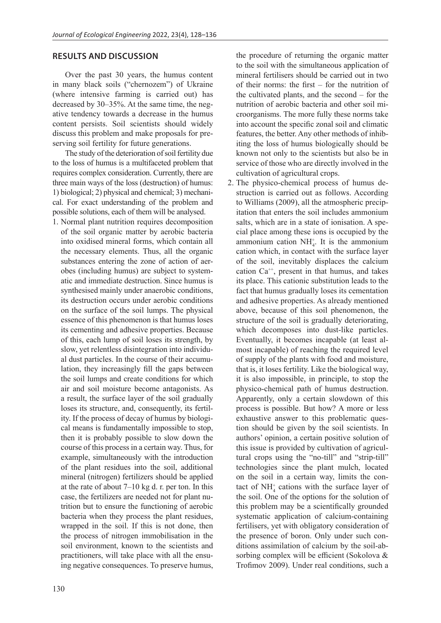### **RESULTS AND DISCUSSION**

Over the past 30 years, the humus content in many black soils ("chernozem") of Ukraine (where intensive farming is carried out) has decreased by 30–35%. At the same time, the negative tendency towards a decrease in the humus content persists. Soil scientists should widely discuss this problem and make proposals for preserving soil fertility for future generations.

The study of the deterioration of soil fertility due to the loss of humus is a multifaceted problem that requires complex consideration. Currently, there are three main ways of the loss (destruction) of humus: 1) biological; 2) physical and chemical; 3) mechanical. For exact understanding of the problem and possible solutions, each of them will be analysed.

1. Normal plant nutrition requires decomposition of the soil organic matter by aerobic bacteria into oxidised mineral forms, which contain all the necessary elements. Thus, all the organic substances entering the zone of action of aerobes (including humus) are subject to systematic and immediate destruction. Since humus is synthesised mainly under anaerobic conditions, its destruction occurs under aerobic conditions on the surface of the soil lumps. The physical essence of this phenomenon is that humus loses its cementing and adhesive properties. Because of this, each lump of soil loses its strength, by slow, yet relentless disintegration into individual dust particles. In the course of their accumulation, they increasingly fill the gaps between the soil lumps and create conditions for which air and soil moisture become antagonists. As a result, the surface layer of the soil gradually loses its structure, and, consequently, its fertility. If the process of decay of humus by biological means is fundamentally impossible to stop, then it is probably possible to slow down the course of this process in a certain way. Thus, for example, simultaneously with the introduction of the plant residues into the soil, additional mineral (nitrogen) fertilizers should be applied at the rate of about 7–10 kg d. r. per ton. In this case, the fertilizers are needed not for plant nutrition but to ensure the functioning of aerobic bacteria when they process the plant residues, wrapped in the soil. If this is not done, then the process of nitrogen immobilisation in the soil environment, known to the scientists and practitioners, will take place with all the ensuing negative consequences. To preserve humus,

the procedure of returning the organic matter to the soil with the simultaneous application of mineral fertilisers should be carried out in two of their norms: the first – for the nutrition of the cultivated plants, and the second – for the nutrition of aerobic bacteria and other soil microorganisms. The more fully these norms take into account the specific zonal soil and climatic features, the better. Any other methods of inhibiting the loss of humus biologically should be known not only to the scientists but also be in service of those who are directly involved in the cultivation of agricultural crops.

2. The physico-chemical process of humus destruction is carried out as follows. According to Williams (2009), all the atmospheric precipitation that enters the soil includes ammonium salts, which are in a state of ionisation. A special place among these ions is occupied by the ammonium cation  $NH_4^+$ . It is the ammonium cation which, in contact with the surface layer of the soil, inevitably displaces the calcium cation  $Ca^{++}$ , present in that humus, and takes its place. This cationic substitution leads to the fact that humus gradually loses its cementation and adhesive properties. As already mentioned above, because of this soil phenomenon, the structure of the soil is gradually deteriorating, which decomposes into dust-like particles. Eventually, it becomes incapable (at least almost incapable) of reaching the required level of supply of the plants with food and moisture, that is, it loses fertility. Like the biological way, it is also impossible, in principle, to stop the physico-chemical path of humus destruction. Apparently, only a certain slowdown of this process is possible. But how? A more or less exhaustive answer to this problematic question should be given by the soil scientists. In authors' opinion, a certain positive solution of this issue is provided by cultivation of agricultural crops using the "no-till" and "strip-till" technologies since the plant mulch, located on the soil in a certain way, limits the contact of  $NH<sub>4</sub><sup>+</sup>$  cations with the surface layer of the soil. One of the options for the solution of this problem may be a scientifically grounded systematic application of calcium-containing fertilisers, yet with obligatory consideration of the presence of boron. Only under such conditions assimilation of calcium by the soil-absorbing complex will be efficient (Sokolova & Trofimov 2009). Under real conditions, such a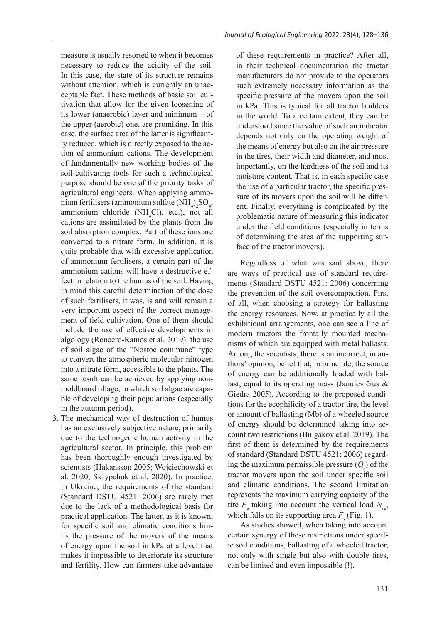measure is usually resorted to when it becomes necessary to reduce the acidity of the soil. In this case, the state of its structure remains without attention, which is currently an unacceptable fact. These methods of basic soil cultivation that allow for the given loosening of its lower (anaerobic) layer and minimum – of the upper (aerobic) one, are promising. In this case, the surface area of the latter is significantly reduced, which is directly exposed to the action of ammonium cations. The development of fundamentally new working bodies of the soil-cultivating tools for such a technological purpose should be one of the priority tasks of agricultural engineers. When applying ammonium fertilisers (ammonium sulfate  $(\mathrm{NH}_4)_2\mathrm{SO}_4$ , ammonium chloride (NH<sub>4</sub>Cl), etc.), not all cations are assimilated by the plants from the soil absorption complex. Part of these ions are converted to a nitrate form. In addition, it is quite probable that with excessive application of ammonium fertilisers, a certain part of the ammonium cations will have a destructive effect in relation to the humus of the soil. Having in mind this careful determination of the dose of such fertilisers, it was, is and will remain a very important aspect of the correct management of field cultivation. One of them should include the use of effective developments in algology (Roncero-Ramos et al. 2019): the use of soil algae of the "Nostoc commune" type to convert the atmospheric molecular nitrogen into a nitrate form, accessible to the plants. The same result can be achieved by applying nonmoldboard tillage, in which soil algae are capable of developing their populations (especially in the autumn period).

3. The mechanical way of destruction of humus has an exclusively subjective nature, primarily due to the technogenic human activity in the agricultural sector. In principle, this problem has been thoroughly enough investigated by scientists (Hakansson 2005; Wojciechowski et al. 2020; Skrypchuk et al. 2020). In practice, in Ukraine, the requirements of the standard (Standard DSTU 4521: 2006) are rarely met due to the lack of a methodological basis for practical application. The latter, as it is known, for specific soil and climatic conditions limits the pressure of the movers of the means of energy upon the soil in kPa at a level that makes it impossible to deteriorate its structure and fertility. How can farmers take advantage

of these requirements in practice? After all, in their technical documentation the tractor manufacturers do not provide to the operators such extremely necessary information as the specific pressure of the movers upon the soil in kPa. This is typical for all tractor builders in the world. To a certain extent, they can be understood since the value of such an indicator depends not only on the operating weight of the means of energy but also on the air pressure in the tires, their width and diameter, and most importantly, on the hardness of the soil and its moisture content. That is, in each specific case the use of a particular tractor, the specific pressure of its movers upon the soil will be different. Finally, everything is complicated by the problematic nature of measuring this indicator under the field conditions (especially in terms of determining the area of the supporting surface of the tractor movers).

Regardless of what was said above, there are ways of practical use of standard requirements (Standard DSTU 4521: 2006) concerning the prevention of the soil overcompaction. First of all, when choosing a strategy for ballasting the energy resources. Now, at practically all the exhibitional arrangements, one can see a line of modern tractors the frontally mounted mechanisms of which are equipped with metal ballasts. Among the scientists, there is an incorrect, in authors' opinion, belief that, in principle, the source of energy can be additionally loaded with ballast, equal to its operating mass (Janulevičius & Giedra 2005). According to the proposed conditions for the ecophilicity of a tractor tire, the level or amount of ballasting (Mb) of a wheeled source of energy should be determined taking into account two restrictions (Bulgakov et al. 2019). The first of them is determined by the requirements of standard (Standard DSTU 4521: 2006) regarding the maximum permissible pressure  $(Q<sub>r</sub>)$  of the tractor movers upon the soil under specific soil and climatic conditions. The second limitation represents the maximum carrying capacity of the tire  $P_w$  taking into account the vertical load  $N_{ab}$ , which falls on its supporting area  $F<sub>s</sub>$  (Fig. 1).

As studies showed, when taking into account certain synergy of these restrictions under specific soil conditions, ballasting of a wheeled tractor, not only with single but also with double tires, can be limited and even impossible (!).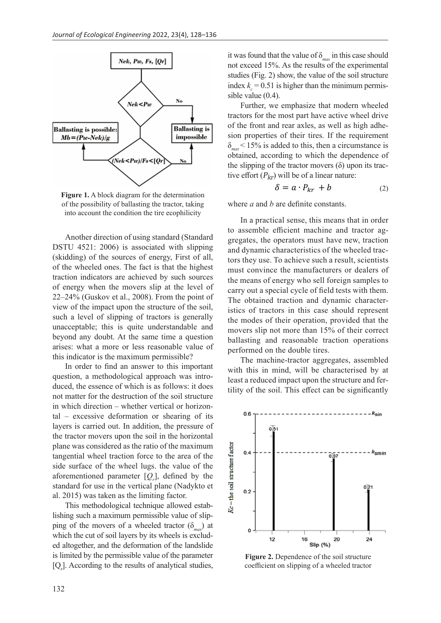

**Figure 1.** A block diagram for the determination of the possibility of ballasting the tractor, taking into account the condition the tire ecophilicity

Another direction of using standard (Standard DSTU 4521: 2006) is associated with slipping (skidding) of the sources of energy, First of all, of the wheeled ones. The fact is that the highest traction indicators are achieved by such sources of energy when the movers slip at the level of 22–24% (Guskov et al., 2008). From the point of view of the impact upon the structure of the soil, such a level of slipping of tractors is generally unacceptable; this is quite understandable and beyond any doubt. At the same time a question arises: what a more or less reasonable value of this indicator is the maximum permissible?

In order to find an answer to this important question, a methodological approach was introduced, the essence of which is as follows: it does not matter for the destruction of the soil structure in which direction – whether vertical or horizontal – excessive deformation or shearing of its layers is carried out. In addition, the pressure of the tractor movers upon the soil in the horizontal plane was considered as the ratio of the maximum tangential wheel traction force to the area of the side surface of the wheel lugs. the value of the aforementioned parameter  $[Q_{r}]$ , defined by the standard for use in the vertical plane (Nadykto et al. 2015) was taken as the limiting factor.

This methodological technique allowed establishing such a maximum permissible value of slipping of the movers of a wheeled tractor  $(\delta_{mn})$  at which the cut of soil layers by its wheels is excluded altogether, and the deformation of the landslide is limited by the permissible value of the parameter  $[Q_r]$ . According to the results of analytical studies, it was found that the value of δ*max* in this case should not exceed 15%. As the results of the experimental studies (Fig. 2) show, the value of the soil structure index  $k_c = 0.51$  is higher than the minimum permissible value (0.4).

Further, we emphasize that modern wheeled tractors for the most part have active wheel drive of the front and rear axles, as well as high adhesion properties of their tires. If the requirement  $\delta_{\text{max}}$  < 15% is added to this, then a circumstance is obtained according to which the dependence of  $\frac{S_{max} - T_{200}}{S_{max}}$  and  $\frac{S_{max}}{S_{max}}$  to the dependence of the slipping of the tractor movers  $(\delta)$  upon its tractive effort  $(P_{kr})$  will be of a linear nature:

$$
\delta = a \cdot P_{kr} + b \tag{2}
$$

where *a* and *b* are definite constants.

In a practical sense, this means that in order to assemble efficient machine and tractor aggregates, the operators must have new, traction and dynamic characteristics of the wheeled tractors they use. To achieve such a result, scientists must convince the manufacturers or dealers of the means of energy who sell foreign samples to carry out a special cycle of field tests with them. The obtained traction and dynamic characteristics of tractors in this case should represent the modes of their operation, provided that the movers slip not more than 15% of their correct ballasting and reasonable traction operations performed on the double tires.

The machine-tractor aggregates, assembled with this in mind, will be characterised by at least a reduced impact upon the structure and fertility of the soil. This effect can be significantly



**Figure 2.** Dependence of the soil structure coefficient on slipping of a wheeled tractor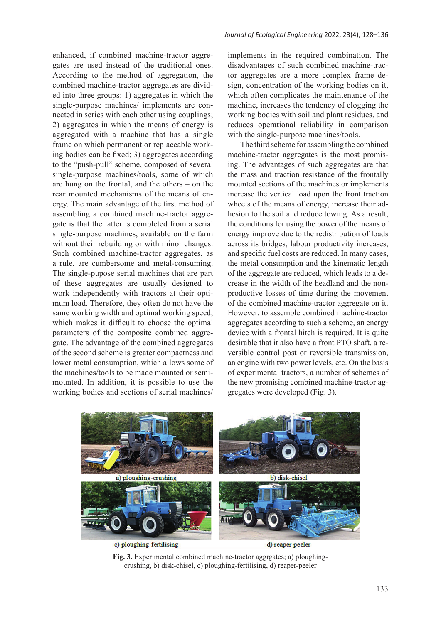enhanced, if combined machine-tractor aggregates are used instead of the traditional ones. According to the method of aggregation, the combined machine-tractor aggregates are divided into three groups: 1) aggregates in which the single-purpose machines/ implements are connected in series with each other using couplings; 2) aggregates in which the means of energy is aggregated with a machine that has a single frame on which permanent or replaceable working bodies can be fixed; 3) aggregates according to the "push-pull" scheme, composed of several single-purpose machines/tools, some of which are hung on the frontal, and the others – on the rear mounted mechanisms of the means of energy. The main advantage of the first method of assembling a combined machine-tractor aggregate is that the latter is completed from a serial single-purpose machines, available on the farm without their rebuilding or with minor changes. Such combined machine-tractor aggregates, as a rule, are cumbersome and metal-consuming. The single-pupose serial machines that are part of these aggregates are usually designed to work independently with tractors at their optimum load. Therefore, they often do not have the same working width and optimal working speed, which makes it difficult to choose the optimal parameters of the composite combined aggregate. The advantage of the combined aggregates of the second scheme is greater compactness and lower metal consumption, which allows some of the machines/tools to be made mounted or semimounted. In addition, it is possible to use the working bodies and sections of serial machines/

implements in the required combination. The disadvantages of such combined machine-tractor aggregates are a more complex frame design, concentration of the working bodies on it, which often complicates the maintenance of the machine, increases the tendency of clogging the working bodies with soil and plant residues, and reduces operational reliability in comparison with the single-purpose machines/tools.

The third scheme for assembling the combined machine-tractor aggregates is the most promising. The advantages of such aggregates are that the mass and traction resistance of the frontally mounted sections of the machines or implements increase the vertical load upon the front traction wheels of the means of energy, increase their adhesion to the soil and reduce towing. As a result, the conditions for using the power of the means of energy improve due to the redistribution of loads across its bridges, labour productivity increases, and specific fuel costs are reduced. In many cases, the metal consumption and the kinematic length of the aggregate are reduced, which leads to a decrease in the width of the headland and the nonproductive losses of time during the movement of the combined machine-tractor aggregate on it. However, to assemble combined machine-tractor aggregates according to such a scheme, an energy device with a frontal hitch is required. It is quite desirable that it also have a front PTO shaft, a reversible control post or reversible transmission, an engine with two power levels, etc. On the basis of experimental tractors, a number of schemes of the new promising combined machine-tractor aggregates were developed (Fig. 3).



**Fig. 3.** Experimental combined machine-tractor aggrgates; а) ploughingcrushing, b) disk-chisel, c) ploughing-fertilising, d) reaper-peeler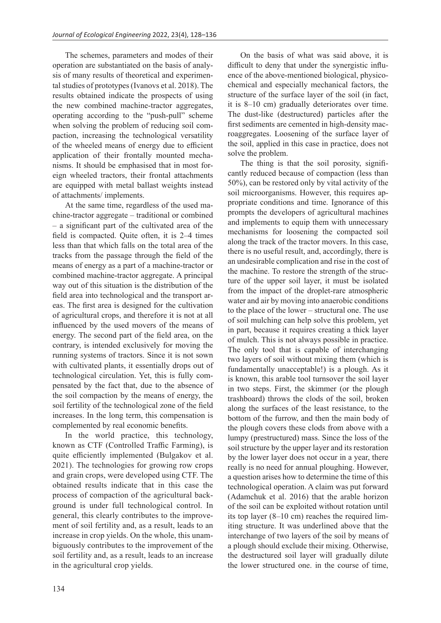The schemes, parameters and modes of their operation are substantiated on the basis of analysis of many results of theoretical and experimental studies of prototypes (Ivanovs et al. 2018). The results obtained indicate the prospects of using the new combined machine-tractor aggregates, operating according to the "push-pull" scheme when solving the problem of reducing soil compaction, increasing the technological versatility of the wheeled means of energy due to efficient application of their frontally mounted mechanisms. It should be emphasised that in most foreign wheeled tractors, their frontal attachments are equipped with metal ballast weights instead of attachments/ implements.

At the same time, regardless of the used machine-tractor aggregate – traditional or combined – a significant part of the cultivated area of the field is compacted. Quite often, it is 2–4 times less than that which falls on the total area of the tracks from the passage through the field of the means of energy as a part of a machine-tractor or combined machine-tractor aggregate. A principal way out of this situation is the distribution of the field area into technological and the transport areas. The first area is designed for the cultivation of agricultural crops, and therefore it is not at all influenced by the used movers of the means of energy. The second part of the field area, on the contrary, is intended exclusively for moving the running systems of tractors. Since it is not sown with cultivated plants, it essentially drops out of technological circulation. Yet, this is fully compensated by the fact that, due to the absence of the soil compaction by the means of energy, the soil fertility of the technological zone of the field increases. In the long term, this compensation is complemented by real economic benefits.

In the world practice, this technology, known as CTF (Controlled Traffic Farming), is quite efficiently implemented (Bulgakov et al. 2021). The technologies for growing row crops and grain crops, were developed using CTF. The obtained results indicate that in this case the process of compaction of the agricultural background is under full technological control. In general, this clearly contributes to the improvement of soil fertility and, as a result, leads to an increase in crop yields. On the whole, this unambiguously contributes to the improvement of the soil fertility and, as a result, leads to an increase in the agricultural crop yields.

On the basis of what was said above, it is difficult to deny that under the synergistic influence of the above-mentioned biological, physicochemical and especially mechanical factors, the structure of the surface layer of the soil (in fact, it is 8–10 cm) gradually deteriorates over time. The dust-like (destructured) particles after the first sediments are cemented in high-density macroaggregates. Loosening of the surface layer of the soil, applied in this case in practice, does not solve the problem.

The thing is that the soil porosity, significantly reduced because of compaction (less than 50%), can be restored only by vital activity of the soil microorganisms. However, this requires appropriate conditions and time. Ignorance of this prompts the developers of agricultural machines and implements to equip them with unnecessary mechanisms for loosening the compacted soil along the track of the tractor movers. In this case, there is no useful result, and, accordingly, there is an undesirable complication and rise in the cost of the machine. To restore the strength of the structure of the upper soil layer, it must be isolated from the impact of the droplet-rare atmospheric water and air by moving into anaerobic conditions to the place of the lower – structural one. The use of soil mulching can help solve this problem, yet in part, because it requires creating a thick layer of mulch. This is not always possible in practice. The only tool that is capable of interchanging two layers of soil without mixing them (which is fundamentally unacceptable!) is a plough. As it is known, this arable tool turnsover the soil layer in two steps. First, the skimmer (or the plough trashboard) throws the clods of the soil, broken along the surfaces of the least resistance, to the bottom of the furrow, and then the main body of the plough covers these clods from above with a lumpy (prestructured) mass. Since the loss of the soil structure by the upper layer and its restoration by the lower layer does not occur in a year, there really is no need for annual ploughing. However, a question arises how to determine the time of this technological operation. A claim was put forward (Adamchuk et al. 2016) that the arable horizon of the soil can be exploited without rotation until its top layer (8–10 cm) reaches the required limiting structure. It was underlined above that the interchange of two layers of the soil by means of a plough should exclude their mixing. Otherwise, the destructured soil layer will gradually dilute the lower structured one. in the course of time,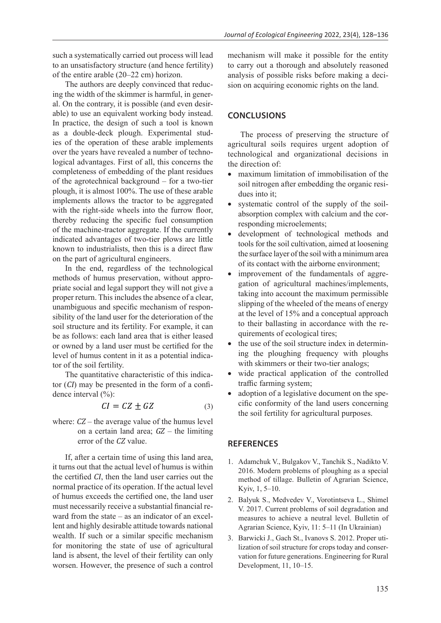such a systematically carried out process will lead to an unsatisfactory structure (and hence fertility) of the entire arable (20–22 cm) horizon.

The authors are deeply convinced that reducing the width of the skimmer is harmful, in general. On the contrary, it is possible (and even desirable) to use an equivalent working body instead. In practice, the design of such a tool is known as a double-deck plough. Experimental studies of the operation of these arable implements over the years have revealed a number of technological advantages. First of all, this concerns the completeness of embedding of the plant residues of the agrotechnical background – for a two-tier plough, it is almost 100%. The use of these arable implements allows the tractor to be aggregated with the right-side wheels into the furrow floor, thereby reducing the specific fuel consumption of the machine-tractor aggregate. If the currently indicated advantages of two-tier plows are little known to industrialists, then this is a direct flaw on the part of agricultural engineers.

In the end, regardless of the technological methods of humus preservation, without appropriate social and legal support they will not give a proper return. This includes the absence of a clear, unambiguous and specific mechanism of responsibility of the land user for the deterioration of the soil structure and its fertility. For example, it can be as follows: each land area that is either leased<br>or sympathy a land area that is either leased or owned by a land user must be certified for the level of humus content in it as a potential indicator of the soil fertility.

The quantitative characteristic of this indicator  $(CI)$  may be presented in the form of a confidence interval (%):

$$
CI = CZ \pm GZ \tag{3}
$$

where: CZ – the average value of the humus level on a certain land area;  $GZ$  – the limiting error of the CZ value.

If, after a certain time of using this land area, it turns out that the actual level of humus is within the certified CI, then the land user carries out the normal practice of its operation. If the actual level of humus exceeds the certified one, the land user must necessarily receive a substantial financial reward from the state  $-$  as an indicator of an excellent and highly desirable attitude towards national wealth. If such or a similar specific mechanism for monitoring the state of use of agricultural land is absent, the level of their fertility can only worsen. However, the presence of such a control mechanism will make it possible for the entity to carry out a thorough and absolutely reasoned analysis of possible risks before making a decision on acquiring economic rights on the land.

#### **CONCLUSIONS**

The process of preserving the structure of agricultural soils requires urgent adoption of technological and organizational decisions in the direction of:

- maximum limitation of immobilisation of the soil nitrogen after embedding the organic residues into it;
- systematic control of the supply of the soilabsorption complex with calcium and the corresponding microelements;
- development of technological methods and tools for the soil cultivation, aimed at loosening the surface layer of the soil with a minimum area of its contact with the airborne environment;
- improvement of the fundamentals of aggregation of agricultural machines/implements, taking into account the maximum permissible slipping of the wheeled of the means of energy at the level of 15% and a conceptual approach to their ballasting in accordance with the requirements of ecological tires;
- the use of the soil structure index in determining the ploughing frequency with ploughs with skimmers or their two-tier analogs;
- wide practical application of the controlled traffic farming system;
- adoption of a legislative document on the specific conformity of the land users concerning the soil fertility for agricultural purposes.

#### **REFERENCES**

- 1. Adamchuk V., Bulgakov V., Tanchik S., Nadikto V. 2016. Modern problems of ploughing as a special method of tillage. Bulletin of Agrarian Science, Kyiv, 1, 5–10.
- 2. Balyuk S., Medvedev V., Vorotintseva L., Shimel V. 2017. Current problems of soil degradation and measures to achieve a neutral level. Bulletin of Agrarian Science, Kyiv, 11: 5–11 (In Ukrainian)
- 3. Barwicki J., Gach St., Ivanovs S. 2012. Proper utilization of soil structure for crops today and conservation for future generations. Engineering for Rural Development, 11, 10–15.